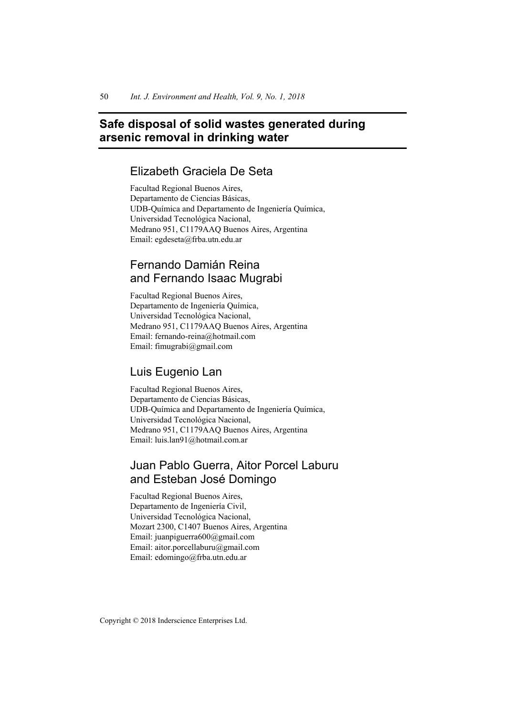# **Safe disposal of solid wastes generated during arsenic removal in drinking water**

## Elizabeth Graciela De Seta

Facultad Regional Buenos Aires, Departamento de Ciencias Básicas, UDB-Química and Departamento de Ingeniería Química, Universidad Tecnológica Nacional, Medrano 951, C1179AAQ Buenos Aires, Argentina Email: egdeseta@frba.utn.edu.ar

# Fernando Damián Reina and Fernando Isaac Mugrabi

Facultad Regional Buenos Aires, Departamento de Ingeniería Química, Universidad Tecnológica Nacional, Medrano 951, C1179AAQ Buenos Aires, Argentina Email: fernando-reina@hotmail.com Email: fimugrabi@gmail.com

## Luis Eugenio Lan

Facultad Regional Buenos Aires, Departamento de Ciencias Básicas, UDB-Química and Departamento de Ingeniería Química, Universidad Tecnológica Nacional, Medrano 951, C1179AAQ Buenos Aires, Argentina Email: luis.lan91@hotmail.com.ar

# Juan Pablo Guerra, Aitor Porcel Laburu and Esteban José Domingo

Facultad Regional Buenos Aires, Departamento de Ingeniería Civil, Universidad Tecnológica Nacional, Mozart 2300, C1407 Buenos Aires, Argentina Email: juanpiguerra600@gmail.com Email: aitor.porcellaburu@gmail.com Email: edomingo@frba.utn.edu.ar

Copyright © 2018 Inderscience Enterprises Ltd.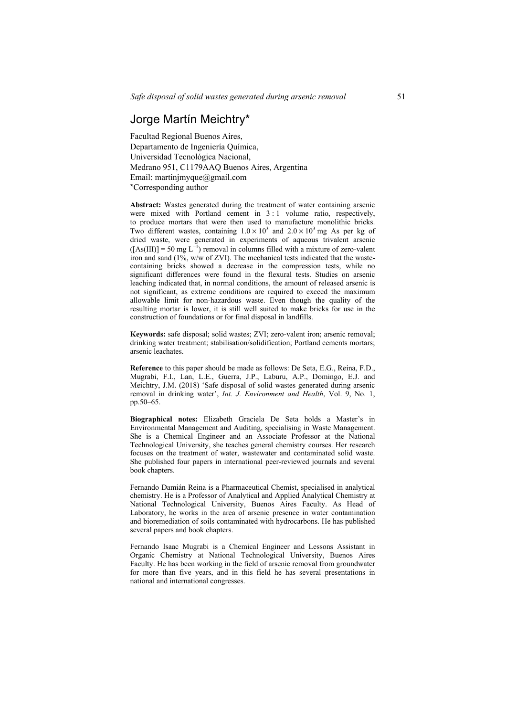## Jorge Martín Meichtry\*

Facultad Regional Buenos Aires, Departamento de Ingeniería Química, Universidad Tecnológica Nacional, Medrano 951, C1179AAQ Buenos Aires, Argentina Email: martinjmyque@gmail.com \*Corresponding author

**Abstract:** Wastes generated during the treatment of water containing arsenic were mixed with Portland cement in  $3:1$  volume ratio, respectively, to produce mortars that were then used to manufacture monolithic bricks. Two different wastes, containing  $1.0 \times 10^3$  and  $2.0 \times 10^3$  mg As per kg of dried waste, were generated in experiments of aqueous trivalent arsenic  $([As(III)] = 50$  mg L<sup>-1</sup>) removal in columns filled with a mixture of zero-valent iron and sand  $(1\% \text{, w/w of } ZVI)$ . The mechanical tests indicated that the wastecontaining bricks showed a decrease in the compression tests, while no significant differences were found in the flexural tests. Studies on arsenic leaching indicated that, in normal conditions, the amount of released arsenic is not significant, as extreme conditions are required to exceed the maximum allowable limit for non-hazardous waste. Even though the quality of the resulting mortar is lower, it is still well suited to make bricks for use in the construction of foundations or for final disposal in landfills.

**Keywords:** safe disposal; solid wastes; ZVI; zero-valent iron; arsenic removal; drinking water treatment; stabilisation/solidification; Portland cements mortars; arsenic leachates.

**Reference** to this paper should be made as follows: De Seta, E.G., Reina, F.D., Mugrabi, F.I., Lan, L.E., Guerra, J.P., Laburu, A.P., Domingo, E.J. and Meichtry, J.M. (2018) 'Safe disposal of solid wastes generated during arsenic removal in drinking water', *Int. J. Environment and Health*, Vol. 9, No. 1, pp.50–65.

**Biographical notes:** Elizabeth Graciela De Seta holds a Master's in Environmental Management and Auditing, specialising in Waste Management. She is a Chemical Engineer and an Associate Professor at the National Technological University, she teaches general chemistry courses. Her research focuses on the treatment of water, wastewater and contaminated solid waste. She published four papers in international peer-reviewed journals and several book chapters.

Fernando Damián Reina is a Pharmaceutical Chemist, specialised in analytical chemistry. He is a Professor of Analytical and Applied Analytical Chemistry at National Technological University, Buenos Aires Faculty. As Head of Laboratory, he works in the area of arsenic presence in water contamination and bioremediation of soils contaminated with hydrocarbons. He has published several papers and book chapters.

Fernando Isaac Mugrabi is a Chemical Engineer and Lessons Assistant in Organic Chemistry at National Technological University, Buenos Aires Faculty. He has been working in the field of arsenic removal from groundwater for more than five years, and in this field he has several presentations in national and international congresses.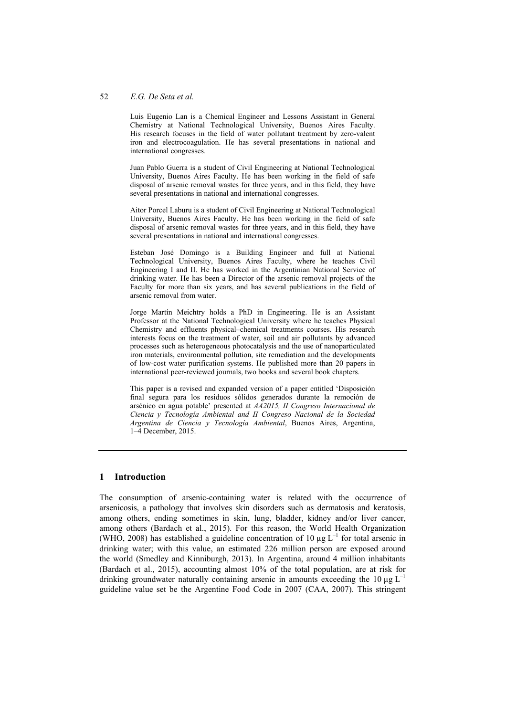Luis Eugenio Lan is a Chemical Engineer and Lessons Assistant in General Chemistry at National Technological University, Buenos Aires Faculty. His research focuses in the field of water pollutant treatment by zero-valent iron and electrocoagulation. He has several presentations in national and international congresses.

Juan Pablo Guerra is a student of Civil Engineering at National Technological University, Buenos Aires Faculty. He has been working in the field of safe disposal of arsenic removal wastes for three years, and in this field, they have several presentations in national and international congresses.

Aitor Porcel Laburu is a student of Civil Engineering at National Technological University, Buenos Aires Faculty. He has been working in the field of safe disposal of arsenic removal wastes for three years, and in this field, they have several presentations in national and international congresses.

Esteban José Domingo is a Building Engineer and full at National Technological University, Buenos Aires Faculty, where he teaches Civil Engineering I and II. He has worked in the Argentinian National Service of drinking water. He has been a Director of the arsenic removal projects of the Faculty for more than six years, and has several publications in the field of arsenic removal from water.

Jorge Martín Meichtry holds a PhD in Engineering. He is an Assistant Professor at the National Technological University where he teaches Physical Chemistry and effluents physical–chemical treatments courses. His research interests focus on the treatment of water, soil and air pollutants by advanced processes such as heterogeneous photocatalysis and the use of nanoparticulated iron materials, environmental pollution, site remediation and the developments of low-cost water purification systems. He published more than 20 papers in international peer-reviewed journals, two books and several book chapters.

This paper is a revised and expanded version of a paper entitled 'Disposición final segura para los residuos sólidos generados durante la remoción de arsénico en agua potable' presented at *AA2015, II Congreso Internacional de Ciencia y Tecnología Ambiental and II Congreso Nacional de la Sociedad Argentina de Ciencia y Tecnología Ambiental*, Buenos Aires, Argentina, 1–4 December, 2015.

## **1 Introduction**

The consumption of arsenic-containing water is related with the occurrence of arsenicosis, a pathology that involves skin disorders such as dermatosis and keratosis, among others, ending sometimes in skin, lung, bladder, kidney and/or liver cancer, among others (Bardach et al., 2015). For this reason, the World Health Organization (WHO, 2008) has established a guideline concentration of 10  $\mu$ g L<sup>-1</sup> for total arsenic in drinking water; with this value, an estimated 226 million person are exposed around the world (Smedley and Kinniburgh, 2013). In Argentina, around 4 million inhabitants (Bardach et al., 2015), accounting almost 10% of the total population, are at risk for drinking groundwater naturally containing arsenic in amounts exceeding the 10  $\mu$ g L<sup>-1</sup> guideline value set be the Argentine Food Code in 2007 (CAA, 2007). This stringent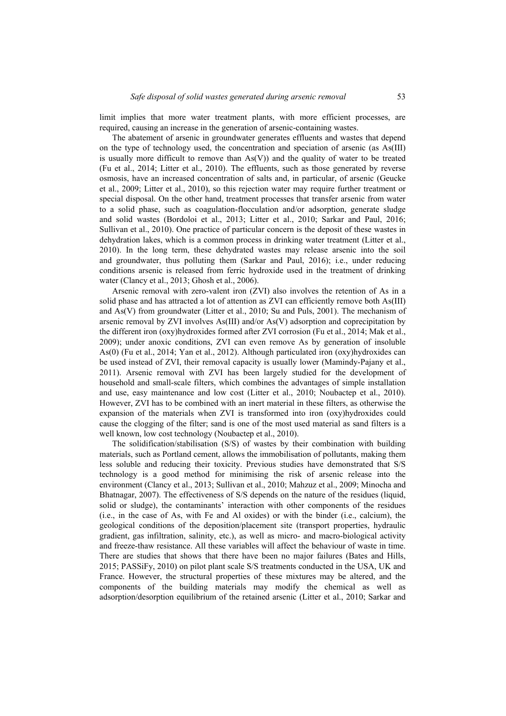limit implies that more water treatment plants, with more efficient processes, are required, causing an increase in the generation of arsenic-containing wastes.

The abatement of arsenic in groundwater generates effluents and wastes that depend on the type of technology used, the concentration and speciation of arsenic (as As(III) is usually more difficult to remove than  $As(V)$ ) and the quality of water to be treated (Fu et al., 2014; Litter et al., 2010). The effluents, such as those generated by reverse osmosis, have an increased concentration of salts and, in particular, of arsenic (Geucke et al., 2009; Litter et al., 2010), so this rejection water may require further treatment or special disposal. On the other hand, treatment processes that transfer arsenic from water to a solid phase, such as coagulation-flocculation and/or adsorption, generate sludge and solid wastes (Bordoloi et al., 2013; Litter et al., 2010; Sarkar and Paul, 2016; Sullivan et al., 2010). One practice of particular concern is the deposit of these wastes in dehydration lakes, which is a common process in drinking water treatment (Litter et al., 2010). In the long term, these dehydrated wastes may release arsenic into the soil and groundwater, thus polluting them (Sarkar and Paul, 2016); i.e., under reducing conditions arsenic is released from ferric hydroxide used in the treatment of drinking water (Clancy et al., 2013; Ghosh et al., 2006).

Arsenic removal with zero-valent iron (ZVI) also involves the retention of As in a solid phase and has attracted a lot of attention as ZVI can efficiently remove both As(III) and As(V) from groundwater (Litter et al., 2010; Su and Puls, 2001). The mechanism of arsenic removal by ZVI involves As(III) and/or As(V) adsorption and coprecipitation by the different iron (oxy)hydroxides formed after ZVI corrosion (Fu et al., 2014; Mak et al., 2009); under anoxic conditions, ZVI can even remove As by generation of insoluble As(0) (Fu et al., 2014; Yan et al., 2012). Although particulated iron (oxy)hydroxides can be used instead of ZVI, their removal capacity is usually lower (Mamindy-Pajany et al., 2011). Arsenic removal with ZVI has been largely studied for the development of household and small-scale filters, which combines the advantages of simple installation and use, easy maintenance and low cost (Litter et al., 2010; Noubactep et al., 2010). However, ZVI has to be combined with an inert material in these filters, as otherwise the expansion of the materials when ZVI is transformed into iron (oxy)hydroxides could cause the clogging of the filter; sand is one of the most used material as sand filters is a well known, low cost technology (Noubactep et al., 2010).

The solidification/stabilisation (S/S) of wastes by their combination with building materials, such as Portland cement, allows the immobilisation of pollutants, making them less soluble and reducing their toxicity. Previous studies have demonstrated that S/S technology is a good method for minimising the risk of arsenic release into the environment (Clancy et al., 2013; Sullivan et al., 2010; Mahzuz et al., 2009; Minocha and Bhatnagar, 2007). The effectiveness of S/S depends on the nature of the residues (liquid, solid or sludge), the contaminants' interaction with other components of the residues (i.e., in the case of As, with Fe and Al oxides) or with the binder (i.e., calcium), the geological conditions of the deposition/placement site (transport properties, hydraulic gradient, gas infiltration, salinity, etc.), as well as micro- and macro-biological activity and freeze-thaw resistance. All these variables will affect the behaviour of waste in time. There are studies that shows that there have been no major failures (Bates and Hills, 2015; PASSiFy, 2010) on pilot plant scale S/S treatments conducted in the USA, UK and France. However, the structural properties of these mixtures may be altered, and the components of the building materials may modify the chemical as well as adsorption/desorption equilibrium of the retained arsenic (Litter et al., 2010; Sarkar and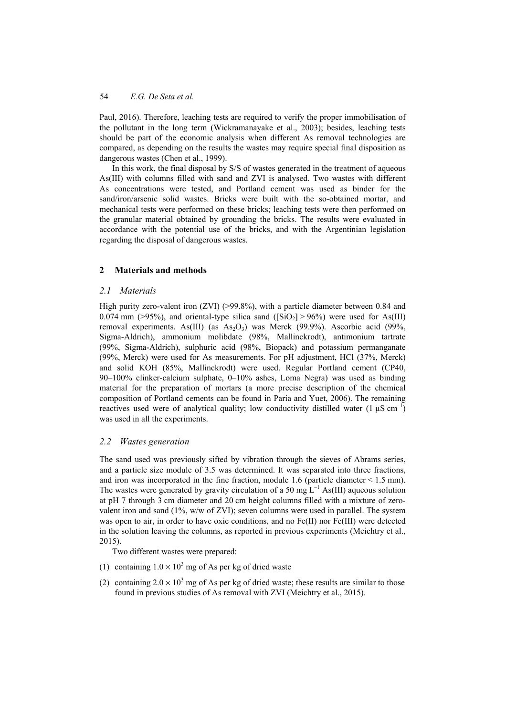Paul, 2016). Therefore, leaching tests are required to verify the proper immobilisation of the pollutant in the long term (Wickramanayake et al., 2003); besides, leaching tests should be part of the economic analysis when different As removal technologies are compared, as depending on the results the wastes may require special final disposition as dangerous wastes (Chen et al., 1999).

In this work, the final disposal by S/S of wastes generated in the treatment of aqueous As(III) with columns filled with sand and ZVI is analysed. Two wastes with different As concentrations were tested, and Portland cement was used as binder for the sand/iron/arsenic solid wastes. Bricks were built with the so-obtained mortar, and mechanical tests were performed on these bricks; leaching tests were then performed on the granular material obtained by grounding the bricks. The results were evaluated in accordance with the potential use of the bricks, and with the Argentinian legislation regarding the disposal of dangerous wastes.

## **2 Materials and methods**

#### *2.1 Materials*

High purity zero-valent iron  $(ZVI)$  (>99.8%), with a particle diameter between 0.84 and 0.074 mm (>95%), and oriental-type silica sand ( $\text{[SiO}_2\text{]} > 96\%$ ) were used for As(III) removal experiments. As(III) (as  $As_2O_3$ ) was Merck (99.9%). Ascorbic acid (99%, Sigma-Aldrich), ammonium molibdate (98%, Mallinckrodt), antimonium tartrate (99%, Sigma-Aldrich), sulphuric acid (98%, Biopack) and potassium permanganate (99%, Merck) were used for As measurements. For pH adjustment, HCl (37%, Merck) and solid KOH (85%, Mallinckrodt) were used. Regular Portland cement (CP40, 90–100% clinker-calcium sulphate, 0–10% ashes, Loma Negra) was used as binding material for the preparation of mortars (a more precise description of the chemical composition of Portland cements can be found in Paria and Yuet, 2006). The remaining reactives used were of analytical quality; low conductivity distilled water  $(1 \text{ }\mu\text{S cm}^{-1})$ was used in all the experiments.

## *2.2 Wastes generation*

The sand used was previously sifted by vibration through the sieves of Abrams series, and a particle size module of 3.5 was determined. It was separated into three fractions, and iron was incorporated in the fine fraction, module 1.6 (particle diameter  $\leq 1.5$  mm). The wastes were generated by gravity circulation of a 50 mg  $L^{-1}$  As(III) aqueous solution at pH 7 through 3 cm diameter and 20 cm height columns filled with a mixture of zerovalent iron and sand (1%, w/w of ZVI); seven columns were used in parallel. The system was open to air, in order to have oxic conditions, and no Fe(II) nor Fe(III) were detected in the solution leaving the columns, as reported in previous experiments (Meichtry et al., 2015).

Two different wastes were prepared:

- (1) containing  $1.0 \times 10^3$  mg of As per kg of dried waste
- (2) containing  $2.0 \times 10^3$  mg of As per kg of dried waste; these results are similar to those found in previous studies of As removal with ZVI (Meichtry et al., 2015).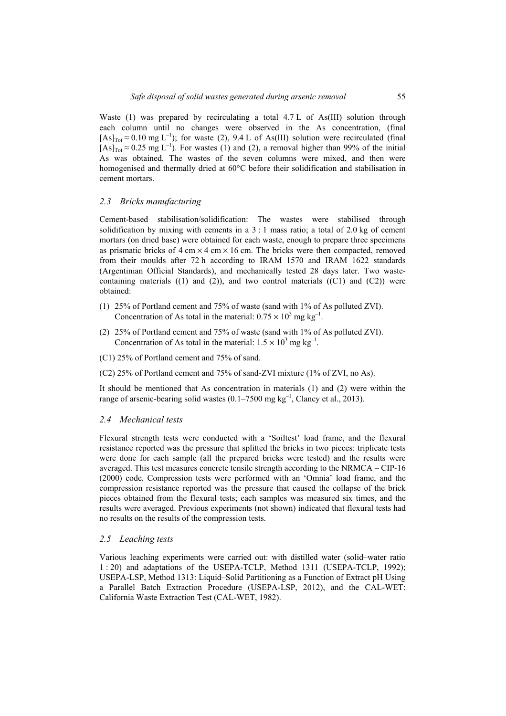Waste (1) was prepared by recirculating a total 4.7 L of As(III) solution through each column until no changes were observed in the As concentration, (final  $[As]_{Tot} \approx 0.10$  mg L<sup>-1</sup>); for waste (2), 9.4 L of As(III) solution were recirculated (final  $[As]_{Tot} \approx 0.25$  mg L<sup>-1</sup>). For wastes (1) and (2), a removal higher than 99% of the initial As was obtained. The wastes of the seven columns were mixed, and then were homogenised and thermally dried at 60°C before their solidification and stabilisation in cement mortars.

## *2.3 Bricks manufacturing*

Cement-based stabilisation/solidification: The wastes were stabilised through solidification by mixing with cements in a 3 : 1 mass ratio; a total of 2.0 kg of cement mortars (on dried base) were obtained for each waste, enough to prepare three specimens as prismatic bricks of  $4 \text{ cm} \times 4 \text{ cm} \times 16 \text{ cm}$ . The bricks were then compacted, removed from their moulds after 72 h according to IRAM 1570 and IRAM 1622 standards (Argentinian Official Standards), and mechanically tested 28 days later. Two wastecontaining materials  $((1)$  and  $(2)$ ), and two control materials  $((C1)$  and  $(C2))$  were obtained:

- (1) 25% of Portland cement and 75% of waste (sand with 1% of As polluted ZVI). Concentration of As total in the material:  $0.75 \times 10^3$  mg kg<sup>-1</sup>.
- (2) 25% of Portland cement and 75% of waste (sand with 1% of As polluted ZVI). Concentration of As total in the material:  $1.5 \times 10^3$  mg kg<sup>-1</sup>.
- (C1) 25% of Portland cement and 75% of sand.
- (C2) 25% of Portland cement and 75% of sand-ZVI mixture (1% of ZVI, no As).

It should be mentioned that As concentration in materials (1) and (2) were within the range of arsenic-bearing solid wastes  $(0.1–7500 \text{ mg kg}^{-1})$ . Clancy et al., 2013).

#### *2.4 Mechanical tests*

Flexural strength tests were conducted with a 'Soiltest' load frame, and the flexural resistance reported was the pressure that splitted the bricks in two pieces: triplicate tests were done for each sample (all the prepared bricks were tested) and the results were averaged. This test measures concrete tensile strength according to the NRMCA – CIP-16 (2000) code. Compression tests were performed with an 'Omnia' load frame, and the compression resistance reported was the pressure that caused the collapse of the brick pieces obtained from the flexural tests; each samples was measured six times, and the results were averaged. Previous experiments (not shown) indicated that flexural tests had no results on the results of the compression tests.

#### *2.5 Leaching tests*

Various leaching experiments were carried out: with distilled water (solid–water ratio 1 : 20) and adaptations of the USEPA-TCLP, Method 1311 (USEPA-TCLP, 1992); USEPA-LSP, Method 1313: Liquid–Solid Partitioning as a Function of Extract pH Using a Parallel Batch Extraction Procedure (USEPA-LSP, 2012), and the CAL-WET: California Waste Extraction Test (CAL-WET, 1982).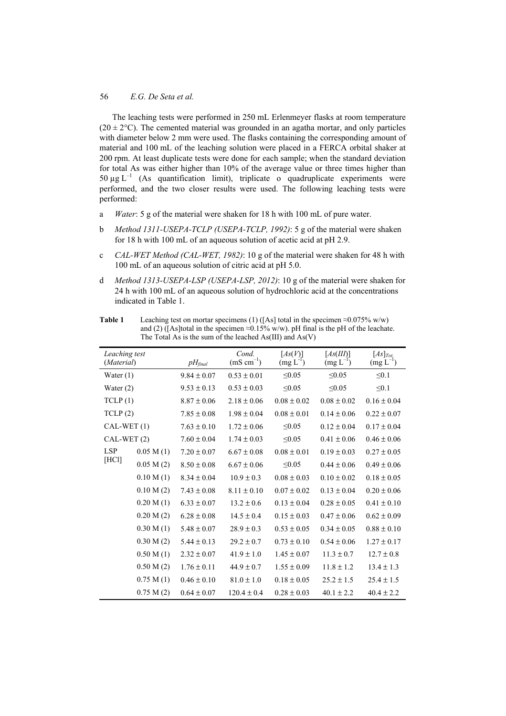The leaching tests were performed in 250 mL Erlenmeyer flasks at room temperature  $(20 \pm 2^{\circ}$ C). The cemented material was grounded in an agatha mortar, and only particles with diameter below 2 mm were used. The flasks containing the corresponding amount of material and 100 mL of the leaching solution were placed in a FERCA orbital shaker at 200 rpm. At least duplicate tests were done for each sample; when the standard deviation for total As was either higher than 10% of the average value or three times higher than 50  $\mu$ g L<sup>-1</sup> (As quantification limit), triplicate o quadruplicate experiments were performed, and the two closer results were used. The following leaching tests were performed:

- a *Water*: 5 g of the material were shaken for 18 h with 100 mL of pure water.
- b *Method 1311-USEPA-TCLP (USEPA-TCLP, 1992)*: 5 g of the material were shaken for 18 h with 100 mL of an aqueous solution of acetic acid at pH 2.9.
- c *CAL-WET Method (CAL-WET, 1982)*: 10 g of the material were shaken for 48 h with 100 mL of an aqueous solution of citric acid at pH 5.0.
- d *Method 1313-USEPA-LSP (USEPA-LSP, 2012)*: 10 g of the material were shaken for 24 h with 100 mL of an aqueous solution of hydrochloric acid at the concentrations indicated in Table 1.

| 1 AVIV 1                    |           |                 | Ecaening itst on mortal specificits (1) ([As] total in the specifical $\approx 0.07376$ w/w)<br>and (2) ([As]total in the specimen $\approx 0.15\%$ w/w). pH final is the pH of the leachate.<br>The Total As is the sum of the leached $As(III)$ and $As(V)$ |                       |                            |                                |
|-----------------------------|-----------|-----------------|---------------------------------------------------------------------------------------------------------------------------------------------------------------------------------------------------------------------------------------------------------------|-----------------------|----------------------------|--------------------------------|
| Leaching test<br>(Material) |           | $pH_{final}$    | Cond.<br>$(mS cm^{-1})$                                                                                                                                                                                                                                       | [As(V)]<br>$(mg L-1)$ | [As(III)]<br>$(mg L^{-1})$ | $[As]_{Tot.}$<br>$(mg L^{-1})$ |
| Water $(1)$                 |           | $9.84 \pm 0.07$ | $0.53 \pm 0.01$                                                                                                                                                                                                                                               | $\leq 0.05$           | $\leq 0.05$                | $\leq 0.1$                     |
| Water $(2)$                 |           | $9.53 \pm 0.13$ | $0.53 \pm 0.03$                                                                                                                                                                                                                                               | $\leq 0.05$           | $\leq 0.05$                | $\leq 0.1$                     |
| TCLP(1)                     |           | $8.87 \pm 0.06$ | $2.18 \pm 0.06$                                                                                                                                                                                                                                               | $0.08 \pm 0.02$       | $0.08 \pm 0.02$            | $0.16 \pm 0.04$                |
| TCLP(2)                     |           | $7.85 \pm 0.08$ | $1.98 \pm 0.04$                                                                                                                                                                                                                                               | $0.08 \pm 0.01$       | $0.14 \pm 0.06$            | $0.22 \pm 0.07$                |
| $CAL-WET(1)$                |           | $7.63 \pm 0.10$ | $1.72 \pm 0.06$                                                                                                                                                                                                                                               | $\leq 0.05$           | $0.12 \pm 0.04$            | $0.17 \pm 0.04$                |
| $CAL-WET(2)$                |           | $7.60 \pm 0.04$ | $1.74 \pm 0.03$                                                                                                                                                                                                                                               | $\leq 0.05$           | $0.41 \pm 0.06$            | $0.46 \pm 0.06$                |
| <b>LSP</b><br>[HC1]         | 0.05 M(1) | $7.20 \pm 0.07$ | $6.67 \pm 0.08$                                                                                                                                                                                                                                               | $0.08 \pm 0.01$       | $0.19 \pm 0.03$            | $0.27 \pm 0.05$                |
|                             | 0.05 M(2) | $8.50 \pm 0.08$ | $6.67 \pm 0.06$                                                                                                                                                                                                                                               | $\leq 0.05$           | $0.44 \pm 0.06$            | $0.49 \pm 0.06$                |
|                             | 0.10 M(1) | $8.34 \pm 0.04$ | $10.9 \pm 0.3$                                                                                                                                                                                                                                                | $0.08 \pm 0.03$       | $0.10 \pm 0.02$            | $0.18 \pm 0.05$                |
|                             | 0.10 M(2) | $7.43 \pm 0.08$ | $8.11 \pm 0.10$                                                                                                                                                                                                                                               | $0.07 \pm 0.02$       | $0.13 \pm 0.04$            | $0.20 \pm 0.06$                |
|                             | 0.20 M(1) | $6.33 \pm 0.07$ | $13.2 \pm 0.6$                                                                                                                                                                                                                                                | $0.13 \pm 0.04$       | $0.28 \pm 0.05$            | $0.41 \pm 0.10$                |
|                             | 0.20 M(2) | $6.28 \pm 0.08$ | $14.5 \pm 0.4$                                                                                                                                                                                                                                                | $0.15 \pm 0.03$       | $0.47 \pm 0.06$            | $0.62 \pm 0.09$                |
|                             | 0.30 M(1) | $5.48 \pm 0.07$ | $28.9 \pm 0.3$                                                                                                                                                                                                                                                | $0.53 \pm 0.05$       | $0.34 \pm 0.05$            | $0.88 \pm 0.10$                |
|                             | 0.30 M(2) | $5.44 \pm 0.13$ | $29.2 \pm 0.7$                                                                                                                                                                                                                                                | $0.73 \pm 0.10$       | $0.54 \pm 0.06$            | $1.27 \pm 0.17$                |
|                             | 0.50 M(1) | $2.32 \pm 0.07$ | $41.9 \pm 1.0$                                                                                                                                                                                                                                                | $1.45 \pm 0.07$       | $11.3 \pm 0.7$             | $12.7 \pm 0.8$                 |
|                             | 0.50 M(2) | $1.76 \pm 0.11$ | $44.9 \pm 0.7$                                                                                                                                                                                                                                                | $1.55 \pm 0.09$       | $11.8 \pm 1.2$             | $13.4 \pm 1.3$                 |
|                             | 0.75 M(1) | $0.46 \pm 0.10$ | $81.0 \pm 1.0$                                                                                                                                                                                                                                                | $0.18 \pm 0.05$       | $25.2 \pm 1.5$             | $25.4 \pm 1.5$                 |
|                             | 0.75 M(2) | $0.64 \pm 0.07$ | $120.4 \pm 0.4$                                                                                                                                                                                                                                               | $0.28 \pm 0.03$       | $40.1 \pm 2.2$             | $40.4 \pm 2.2$                 |

**Table 1** Leaching test on morter specimens (1)  $(f_A)$  total in the specimen  $\approx 0.075\%$  w/w)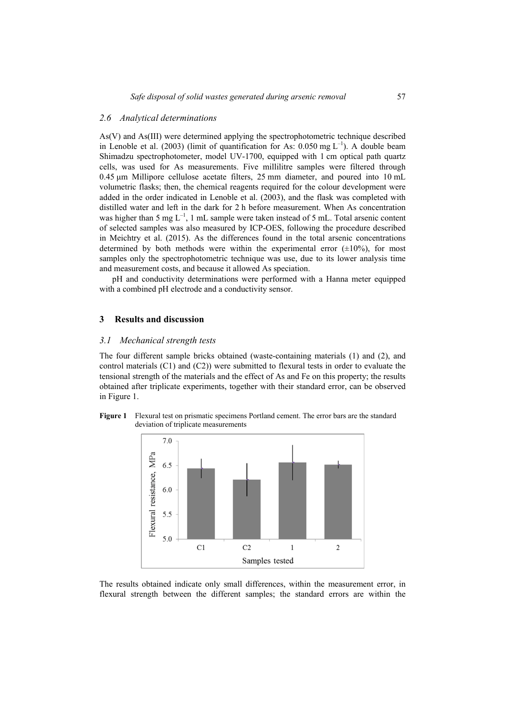## *2.6 Analytical determinations*

As(V) and As(III) were determined applying the spectrophotometric technique described in Lenoble et al. (2003) (limit of quantification for As:  $0.050$  mg L<sup>-1</sup>). A double beam Shimadzu spectrophotometer, model UV-1700, equipped with 1 cm optical path quartz cells, was used for As measurements. Five millilitre samples were filtered through 0.45 µm Millipore cellulose acetate filters, 25 mm diameter, and poured into 10 mL volumetric flasks; then, the chemical reagents required for the colour development were added in the order indicated in Lenoble et al. (2003), and the flask was completed with distilled water and left in the dark for 2 h before measurement. When As concentration was higher than 5 mg  $L^{-1}$ , 1 mL sample were taken instead of 5 mL. Total arsenic content of selected samples was also measured by ICP-OES, following the procedure described in Meichtry et al. (2015). As the differences found in the total arsenic concentrations determined by both methods were within the experimental error  $(\pm 10\%)$ , for most samples only the spectrophotometric technique was use, due to its lower analysis time and measurement costs, and because it allowed As speciation.

pH and conductivity determinations were performed with a Hanna meter equipped with a combined pH electrode and a conductivity sensor.

## **3 Results and discussion**

## *3.1 Mechanical strength tests*

The four different sample bricks obtained (waste-containing materials (1) and (2), and control materials (C1) and (C2)) were submitted to flexural tests in order to evaluate the tensional strength of the materials and the effect of As and Fe on this property; the results obtained after triplicate experiments, together with their standard error, can be observed in Figure 1.





The results obtained indicate only small differences, within the measurement error, in flexural strength between the different samples; the standard errors are within the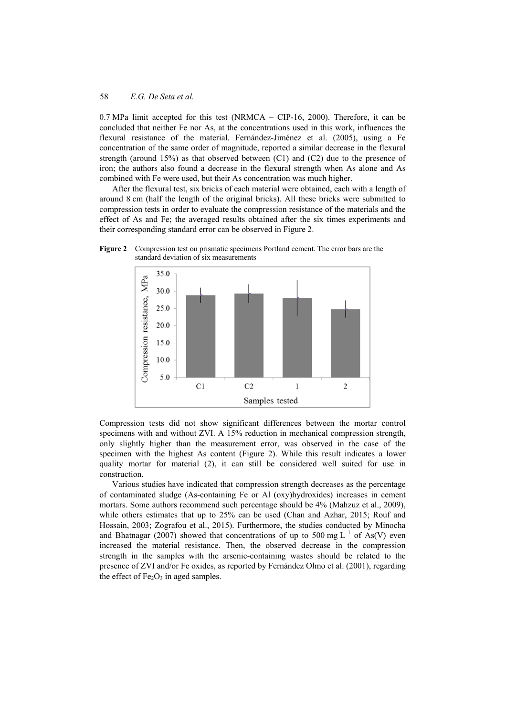0.7 MPa limit accepted for this test (NRMCA – CIP-16, 2000). Therefore, it can be concluded that neither Fe nor As, at the concentrations used in this work, influences the flexural resistance of the material. Fernández-Jiménez et al. (2005), using a Fe concentration of the same order of magnitude, reported a similar decrease in the flexural strength (around  $15\%$ ) as that observed between (C1) and (C2) due to the presence of iron; the authors also found a decrease in the flexural strength when As alone and As combined with Fe were used, but their As concentration was much higher.

After the flexural test, six bricks of each material were obtained, each with a length of around 8 cm (half the length of the original bricks). All these bricks were submitted to compression tests in order to evaluate the compression resistance of the materials and the effect of As and Fe; the averaged results obtained after the six times experiments and their corresponding standard error can be observed in Figure 2.



**Figure 2** Compression test on prismatic specimens Portland cement. The error bars are the standard deviation of six measurements

Compression tests did not show significant differences between the mortar control specimens with and without ZVI. A 15% reduction in mechanical compression strength, only slightly higher than the measurement error, was observed in the case of the specimen with the highest As content (Figure 2). While this result indicates a lower quality mortar for material (2), it can still be considered well suited for use in construction.

Various studies have indicated that compression strength decreases as the percentage of contaminated sludge (As-containing Fe or Al (oxy)hydroxides) increases in cement mortars. Some authors recommend such percentage should be 4% (Mahzuz et al., 2009), while others estimates that up to 25% can be used (Chan and Azhar, 2015; Rouf and Hossain, 2003; Zografou et al., 2015). Furthermore, the studies conducted by Minocha and Bhatnagar (2007) showed that concentrations of up to 500 mg  $L^{-1}$  of As(V) even increased the material resistance. Then, the observed decrease in the compression strength in the samples with the arsenic-containing wastes should be related to the presence of ZVI and/or Fe oxides, as reported by Fernández Olmo et al. (2001), regarding the effect of  $Fe<sub>2</sub>O<sub>3</sub>$  in aged samples.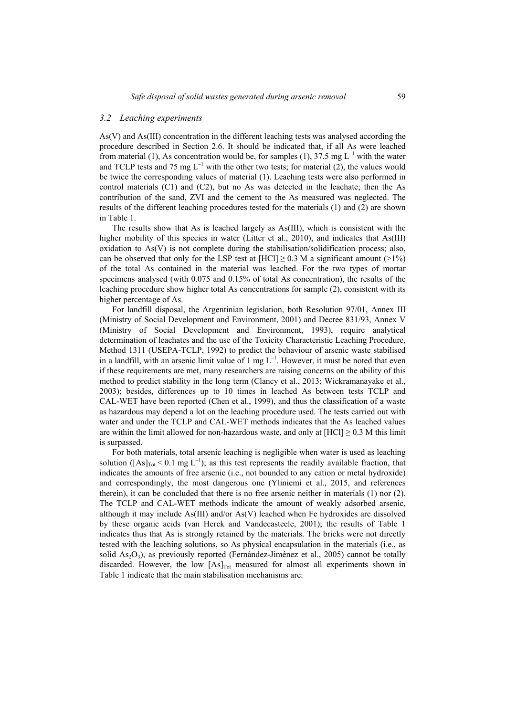#### *3.2 Leaching experiments*

As(V) and As(III) concentration in the different leaching tests was analysed according the procedure described in Section 2.6. It should be indicated that, if all As were leached from material (1), As concentration would be, for samples (1), 37.5 mg  $L^{-1}$  with the water and TCLP tests and 75 mg  $L^{-1}$  with the other two tests; for material (2), the values would be twice the corresponding values of material (1). Leaching tests were also performed in control materials (C1) and (C2), but no As was detected in the leachate; then the As contribution of the sand, ZVI and the cement to the As measured was neglected. The results of the different leaching procedures tested for the materials (1) and (2) are shown in Table 1.

The results show that As is leached largely as As(III), which is consistent with the higher mobility of this species in water (Litter et al., 2010), and indicates that As(III) oxidation to As(V) is not complete during the stabilisation/solidification process; also, can be observed that only for the LSP test at  $[HC1] \ge 0.3$  M a significant amount (>1%) of the total As contained in the material was leached. For the two types of mortar specimens analysed (with 0.075 and 0.15% of total As concentration), the results of the leaching procedure show higher total As concentrations for sample (2), consistent with its higher percentage of As.

For landfill disposal, the Argentinian legislation, both Resolution 97/01, Annex III (Ministry of Social Development and Environment, 2001) and Decree 831/93, Annex V (Ministry of Social Development and Environment, 1993), require analytical determination of leachates and the use of the Toxicity Characteristic Leaching Procedure, Method 1311 (USEPA-TCLP, 1992) to predict the behaviour of arsenic waste stabilised in a landfill, with an arsenic limit value of 1 mg  $L^{-1}$ . However, it must be noted that even if these requirements are met, many researchers are raising concerns on the ability of this method to predict stability in the long term (Clancy et al., 2013; Wickramanayake et al., 2003); besides, differences up to 10 times in leached As between tests TCLP and CAL-WET have been reported (Chen et al., 1999), and thus the classification of a waste as hazardous may depend a lot on the leaching procedure used. The tests carried out with water and under the TCLP and CAL-WET methods indicates that the As leached values are within the limit allowed for non-hazardous waste, and only at  $[HC1] \geq 0.3$  M this limit is surpassed.

For both materials, total arsenic leaching is negligible when water is used as leaching solution ( $[As]_{Tot} < 0.1$  mg L<sup>-1</sup>); as this test represents the readily available fraction, that indicates the amounts of free arsenic (i.e., not bounded to any cation or metal hydroxide) and correspondingly, the most dangerous one (Yliniemi et al., 2015, and references therein), it can be concluded that there is no free arsenic neither in materials (1) nor (2). The TCLP and CAL-WET methods indicate the amount of weakly adsorbed arsenic, although it may include As(III) and/or As(V) leached when Fe hydroxides are dissolved by these organic acids (van Herck and Vandecasteele, 2001); the results of Table 1 indicates thus that As is strongly retained by the materials. The bricks were not directly tested with the leaching solutions, so As physical encapsulation in the materials (i.e., as solid As<sub>2</sub>O<sub>3</sub>), as previously reported (Fernández-Jiménez et al., 2005) cannot be totally discarded. However, the low  $[As]_{Tot}$  measured for almost all experiments shown in Table 1 indicate that the main stabilisation mechanisms are: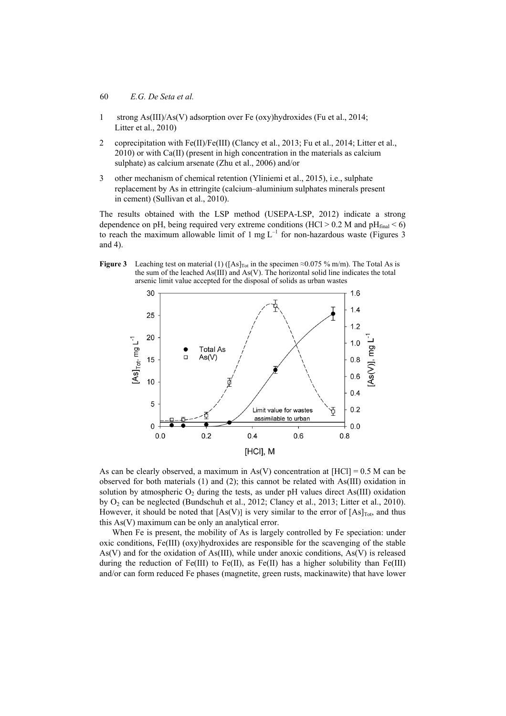- 60 *E.G. De Seta et al.*
- 1 strong As(III)/As(V) adsorption over Fe (oxy)hydroxides (Fu et al., 2014; Litter et al., 2010)
- 2 coprecipitation with Fe(II)/Fe(III) (Clancy et al., 2013; Fu et al., 2014; Litter et al., 2010) or with Ca(II) (present in high concentration in the materials as calcium sulphate) as calcium arsenate (Zhu et al., 2006) and/or
- 3 other mechanism of chemical retention (Yliniemi et al., 2015), i.e., sulphate replacement by As in ettringite (calcium–aluminium sulphates minerals present in cement) (Sullivan et al., 2010).

The results obtained with the LSP method (USEPA-LSP, 2012) indicate a strong dependence on pH, being required very extreme conditions (HCl > 0.2 M and  $pH_{final}$  < 6) to reach the maximum allowable limit of 1 mg  $L^{-1}$  for non-hazardous waste (Figures 3 and 4).

**Figure 3** Leaching test on material (1) ( $[As]_{Tot}$  in the specimen ≈0.075 % m/m). The Total As is the sum of the leached As(III) and As(V). The horizontal solid line indicates the total arsenic limit value accepted for the disposal of solids as urban wastes



As can be clearly observed, a maximum in As(V) concentration at  $[HCI] = 0.5$  M can be observed for both materials (1) and (2); this cannot be related with As(III) oxidation in solution by atmospheric  $O_2$  during the tests, as under pH values direct As(III) oxidation by  $O_2$  can be neglected (Bundschuh et al., 2012; Clancy et al., 2013; Litter et al., 2010). However, it should be noted that  $[As(V)]$  is very similar to the error of  $[As]_{Tot}$ , and thus this As(V) maximum can be only an analytical error.

When Fe is present, the mobility of As is largely controlled by Fe speciation: under oxic conditions, Fe(III) (oxy)hydroxides are responsible for the scavenging of the stable As(V) and for the oxidation of As(III), while under anoxic conditions, As(V) is released during the reduction of Fe(III) to Fe(II), as Fe(II) has a higher solubility than Fe(III) and/or can form reduced Fe phases (magnetite, green rusts, mackinawite) that have lower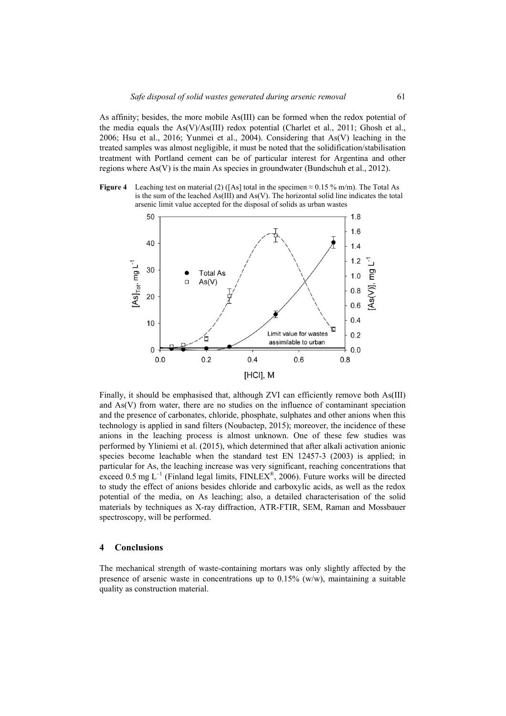As affinity; besides, the more mobile As(III) can be formed when the redox potential of the media equals the As(V)/As(III) redox potential (Charlet et al., 2011; Ghosh et al., 2006; Hsu et al., 2016; Yunmei et al., 2004). Considering that As(V) leaching in the treated samples was almost negligible, it must be noted that the solidification/stabilisation treatment with Portland cement can be of particular interest for Argentina and other regions where As(V) is the main As species in groundwater (Bundschuh et al., 2012).

**Figure 4** Leaching test on material (2) ([As] total in the specimen  $\approx$  0.15 % m/m). The Total As is the sum of the leached  $As(III)$  and  $As(V)$ . The horizontal solid line indicates the total arsenic limit value accepted for the disposal of solids as urban wastes



Finally, it should be emphasised that, although ZVI can efficiently remove both As(III) and As(V) from water, there are no studies on the influence of contaminant speciation and the presence of carbonates, chloride, phosphate, sulphates and other anions when this technology is applied in sand filters (Noubactep, 2015); moreover, the incidence of these anions in the leaching process is almost unknown. One of these few studies was performed by Yliniemi et al. (2015), which determined that after alkali activation anionic species become leachable when the standard test EN 12457-3 (2003) is applied; in particular for As, the leaching increase was very significant, reaching concentrations that exceed 0.5 mg  $L^{-1}$  (Finland legal limits, FINLEX<sup>®</sup>, 2006). Future works will be directed to study the effect of anions besides chloride and carboxylic acids, as well as the redox potential of the media, on As leaching; also, a detailed characterisation of the solid materials by techniques as X-ray diffraction, ATR-FTIR, SEM, Raman and Mossbauer spectroscopy, will be performed.

## **4 Conclusions**

The mechanical strength of waste-containing mortars was only slightly affected by the presence of arsenic waste in concentrations up to  $0.15\%$  (w/w), maintaining a suitable quality as construction material.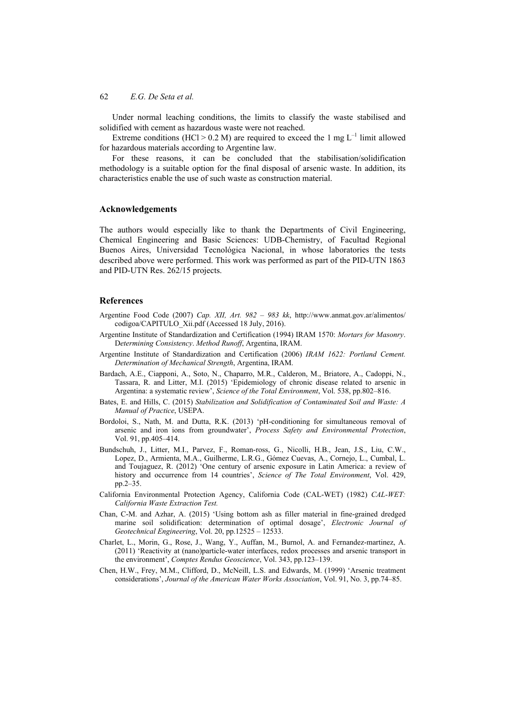Under normal leaching conditions, the limits to classify the waste stabilised and solidified with cement as hazardous waste were not reached.

Extreme conditions (HCl > 0.2 M) are required to exceed the 1 mg  $L^{-1}$  limit allowed for hazardous materials according to Argentine law.

For these reasons, it can be concluded that the stabilisation/solidification methodology is a suitable option for the final disposal of arsenic waste. In addition, its characteristics enable the use of such waste as construction material.

#### **Acknowledgements**

The authors would especially like to thank the Departments of Civil Engineering, Chemical Engineering and Basic Sciences: UDB-Chemistry, of Facultad Regional Buenos Aires, Universidad Tecnológica Nacional, in whose laboratories the tests described above were performed. This work was performed as part of the PID-UTN 1863 and PID-UTN Res. 262/15 projects.

## **References**

- Argentine Food Code (2007) *Cap. XII, Art. 982 983 kk*, http://www.anmat.gov.ar/alimentos/ codigoa/CAPITULO\_Xii.pdf (Accessed 18 July, 2016).
- Argentine Institute of Standardization and Certification (1994) IRAM 1570: *Mortars for Masonry*. D*etermining Consistency*. *Method Runoff*, Argentina, IRAM.
- Argentine Institute of Standardization and Certification (2006) *IRAM 1622: Portland Cement. Determination of Mechanical Strength*, Argentina, IRAM.
- Bardach, A.E., Ciapponi, A., Soto, N., Chaparro, M.R., Calderon, M., Briatore, A., Cadoppi, N., Tassara, R. and Litter, M.I. (2015) 'Epidemiology of chronic disease related to arsenic in Argentina: a systematic review', *Science of the Total Environment*, Vol. 538, pp.802–816.
- Bates, E. and Hills, C. (2015) *Stabilization and Solidification of Contaminated Soil and Waste: A Manual of Practice*, USEPA.
- Bordoloi, S., Nath, M. and Dutta, R.K. (2013) 'pH-conditioning for simultaneous removal of arsenic and iron ions from groundwater', *Process Safety and Environmental Protection*, Vol. 91, pp.405–414.
- Bundschuh, J., Litter, M.I., Parvez, F., Roman-ross, G., Nicolli, H.B., Jean, J.S., Liu, C.W., Lopez, D., Armienta, M.A., Guilherme, L.R.G., Gómez Cuevas, A., Cornejo, L., Cumbal, L. and Toujaguez, R. (2012) 'One century of arsenic exposure in Latin America: a review of history and occurrence from 14 countries', *Science of The Total Environment*, Vol. 429, pp.2–35.
- California Environmental Protection Agency, California Code (CAL-WET) (1982) *CAL-WET: California Waste Extraction Test.*
- Chan, C-M. and Azhar, A. (2015) 'Using bottom ash as filler material in fine-grained dredged marine soil solidification: determination of optimal dosage', *Electronic Journal of Geotechnical Engineering*, Vol. 20, pp.12525 – 12533.
- Charlet, L., Morin, G., Rose, J., Wang, Y., Auffan, M., Burnol, A. and Fernandez-martinez, A. (2011) 'Reactivity at (nano)particle-water interfaces, redox processes and arsenic transport in the environment', *Comptes Rendus Geoscience*, Vol. 343, pp.123–139.
- Chen, H.W., Frey, M.M., Clifford, D., McNeill, L.S. and Edwards, M. (1999) 'Arsenic treatment considerations', *Journal of the American Water Works Association*, Vol. 91, No. 3, pp.74–85.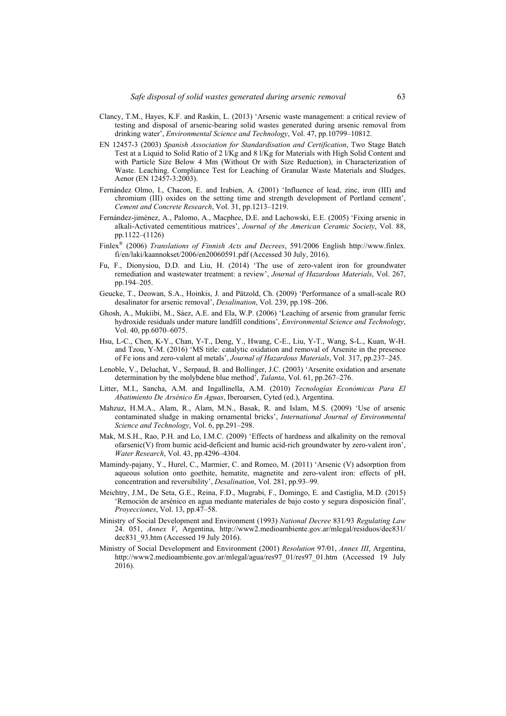- Clancy, T.M., Hayes, K.F. and Raskin, L. (2013) 'Arsenic waste management: a critical review of testing and disposal of arsenic-bearing solid wastes generated during arsenic removal from drinking water', *Environmental Science and Technology*, Vol. 47, pp.10799–10812.
- EN 12457-3 (2003) *Spanish Association for Standardisation and Certification*, Two Stage Batch Test at a Liquid to Solid Ratio of 2 l/Kg and 8 l/Kg for Materials with High Solid Content and with Particle Size Below 4 Mm (Without Or with Size Reduction), in Characterization of Waste. Leaching. Compliance Test for Leaching of Granular Waste Materials and Sludges, Aenor (EN 12457-3:2003).
- Fernández Olmo, I., Chacon, E. and Irabien, A. (2001) 'Influence of lead, zinc, iron (III) and chromium (III) oxides on the setting time and strength development of Portland cement', *Cement and Concrete Research*, Vol. 31, pp.1213–1219.
- Fernández-jiménez, A., Palomo, A., Macphee, D.E. and Lachowski, E.E. (2005) 'Fixing arsenic in alkali-Activated cementitious matrices', *Journal of the American Ceramic Society*, Vol. 88, pp.1122–(1126)
- Finlex® (2006) *Translations of Finnish Acts and Decrees*, 591/2006 English http://www.finlex. fi/en/laki/kaannokset/2006/en20060591.pdf (Accessed 30 July, 2016).
- Fu, F., Dionysiou, D.D. and Liu, H. (2014) 'The use of zero-valent iron for groundwater remediation and wastewater treatment: a review', *Journal of Hazardous Materials*, Vol. 267, pp.194–205.
- Geucke, T., Deowan, S.A., Hoinkis, J. and Pätzold, Ch. (2009) 'Performance of a small-scale RO desalinator for arsenic removal', *Desalination*, Vol. 239, pp.198–206.
- Ghosh, A., Mukiibi, M., Sáez, A.E. and Ela, W.P. (2006) 'Leaching of arsenic from granular ferric hydroxide residuals under mature landfill conditions', *Environmental Science and Technology*, Vol. 40, pp.6070–6075.
- Hsu, L-C., Chen, K-Y., Chan, Y-T., Deng, Y., Hwang, C-E., Liu, Y-T., Wang, S-L., Kuan, W-H. and Tzou, Y-M. (2016) 'MS title: catalytic oxidation and removal of Arsenite in the presence of Fe ions and zero-valent al metals', *Journal of Hazardous Materials*, Vol. 317, pp.237–245.
- Lenoble, V., Deluchat, V., Serpaud, B. and Bollinger, J.C. (2003) 'Arsenite oxidation and arsenate determination by the molybdene blue method', *Talanta*, Vol. 61, pp.267–276.
- Litter, M.I., Sancha, A.M. and Ingallinella, A.M. (2010) *Tecnologías Económicas Para El Abatimiento De Arsénico En Aguas*, Iberoarsen, Cyted (ed.), Argentina.
- Mahzuz, H.M.A., Alam, R., Alam, M.N., Basak, R. and Islam, M.S. (2009) 'Use of arsenic contaminated sludge in making ornamental bricks', *International Journal of Environmental Science and Technology*, Vol. 6, pp.291–298.
- Mak, M.S.H., Rao, P.H. and Lo, I.M.C. (2009) 'Effects of hardness and alkalinity on the removal ofarsenic(V) from humic acid-deficient and humic acid-rich groundwater by zero-valent iron', *Water Research*, Vol. 43, pp.4296–4304.
- Mamindy-pajany, Y., Hurel, C., Marmier, C. and Romeo, M. (2011) 'Arsenic (V) adsorption from aqueous solution onto goethite, hematite, magnetite and zero-valent iron: effects of pH, concentration and reversibility', *Desalination*, Vol. 281, pp.93–99.
- Meichtry, J.M., De Seta, G.E., Reina, F.D., Mugrabi, F., Domingo, E. and Castiglia, M.D. (2015) 'Remoción de arsénico en agua mediante materiales de bajo costo y segura disposición final', *Proyecciones*, Vol. 13, pp.47–58.
- Ministry of Social Development and Environment (1993) *National Decree* 831*/*93 *Regulating Law*  24. 051, *Annex V*, Argentina, http://www2.medioambiente.gov.ar/mlegal/residuos/dec831/ dec831\_93.htm (Accessed 19 July 2016).
- Ministry of Social Development and Environment (2001) *Resolution* 97*/*01, *Annex III*, Argentina, http://www2.medioambiente.gov.ar/mlegal/agua/res97\_01/res97\_01.htm (Accessed 19 July 2016).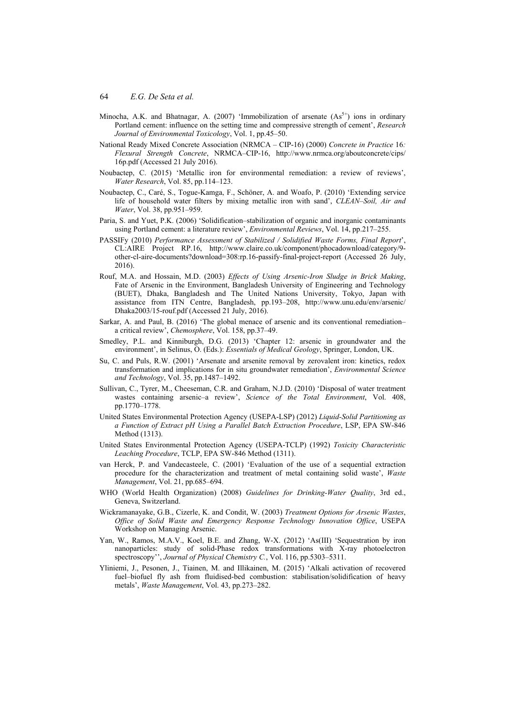- Minocha, A.K. and Bhatnagar, A. (2007) 'Immobilization of arsenate  $(As<sup>5+</sup>)$  ions in ordinary Portland cement: influence on the setting time and compressive strength of cement', *Research Journal of Environmental Toxicology*, Vol. 1, pp.45–50.
- National Ready Mixed Concrete Association (NRMCA CIP-16) (2000) *Concrete in Practice* 16*: Flexural Strength Concrete*, NRMCA–CIP-16, http://www.nrmca.org/aboutconcrete/cips/ 16p.pdf (Accessed 21 July 2016).
- Noubactep, C. (2015) 'Metallic iron for environmental remediation: a review of reviews', *Water Research*, Vol. 85, pp.114–123.
- Noubactep, C., Caré, S., Togue-Kamga, F., Schöner, A. and Woafo, P. (2010) 'Extending service life of household water filters by mixing metallic iron with sand', *CLEAN–Soil, Air and Water*, Vol. 38, pp.951–959.
- Paria, S. and Yuet, P.K. (2006) 'Solidification–stabilization of organic and inorganic contaminants using Portland cement: a literature review', *Environmental Reviews*, Vol. 14, pp.217–255.
- PASSIFy (2010) *Performance Assessment of Stabilized / Solidified Waste Forms, Final Report*', CL:AIRE Project RP.16, http://www.claire.co.uk/component/phocadownload/category/9 other-cl-aire-documents?download=308:rp.16-passify-final-project-report (Accessed 26 July, 2016).
- Rouf, M.A. and Hossain, M.D. (2003) *Effects of Using Arsenic-Iron Sludge in Brick Making*, Fate of Arsenic in the Environment, Bangladesh University of Engineering and Technology (BUET), Dhaka, Bangladesh and The United Nations University, Tokyo, Japan with assistance from ITN Centre, Bangladesh, pp.193–208, http://www.unu.edu/env/arsenic/ Dhaka2003/15-rouf.pdf (Accessed 21 July, 2016).
- Sarkar, A. and Paul, B. (2016) 'The global menace of arsenic and its conventional remediation– a critical review', *Chemosphere*, Vol. 158, pp.37–49.
- Smedley, P.L. and Kinniburgh, D.G. (2013) 'Chapter 12: arsenic in groundwater and the environment', in Selinus, O. (Eds.): *Essentials of Medical Geology*, Springer, London, UK.
- Su, C. and Puls, R.W. (2001) 'Arsenate and arsenite removal by zerovalent iron: kinetics, redox transformation and implications for in situ groundwater remediation', *Environmental Science and Technology*, Vol. 35, pp.1487–1492.
- Sullivan, C., Tyrer, M., Cheeseman, C.R. and Graham, N.J.D. (2010) 'Disposal of water treatment wastes containing arsenic–a review', *Science of the Total Environment*, Vol. 408, pp.1770–1778.
- United States Environmental Protection Agency (USEPA-LSP) (2012) *Liquid-Solid Partitioning as a Function of Extract pH Using a Parallel Batch Extraction Procedure*, LSP, EPA SW-846 Method (1313).
- United States Environmental Protection Agency (USEPA-TCLP) (1992) *Toxicity Characteristic Leaching Procedure*, TCLP, EPA SW-846 Method (1311).
- van Herck, P. and Vandecasteele, C. (2001) 'Evaluation of the use of a sequential extraction procedure for the characterization and treatment of metal containing solid waste', *Waste Management*, Vol. 21, pp.685–694.
- WHO (World Health Organization) (2008) *Guidelines for Drinking-Water Quality*, 3rd ed., Geneva, Switzerland.
- Wickramanayake, G.B., Cizerle, K. and Condit, W. (2003) *Treatment Options for Arsenic Wastes*, *Office of Solid Waste and Emergency Response Technology Innovation Office*, USEPA Workshop on Managing Arsenic.
- Yan, W., Ramos, M.A.V., Koel, B.E. and Zhang, W-X. (2012) 'As(III) 'Sequestration by iron nanoparticles: study of solid-Phase redox transformations with X-ray photoelectron spectroscopy'', *Journal of Physical Chemistry C.*, Vol. 116, pp.5303–5311.
- Yliniemi, J., Pesonen, J., Tiainen, M. and Illikainen, M. (2015) 'Alkali activation of recovered fuel–biofuel fly ash from fluidised-bed combustion: stabilisation/solidification of heavy metals', *Waste Management*, Vol. 43, pp.273–282.